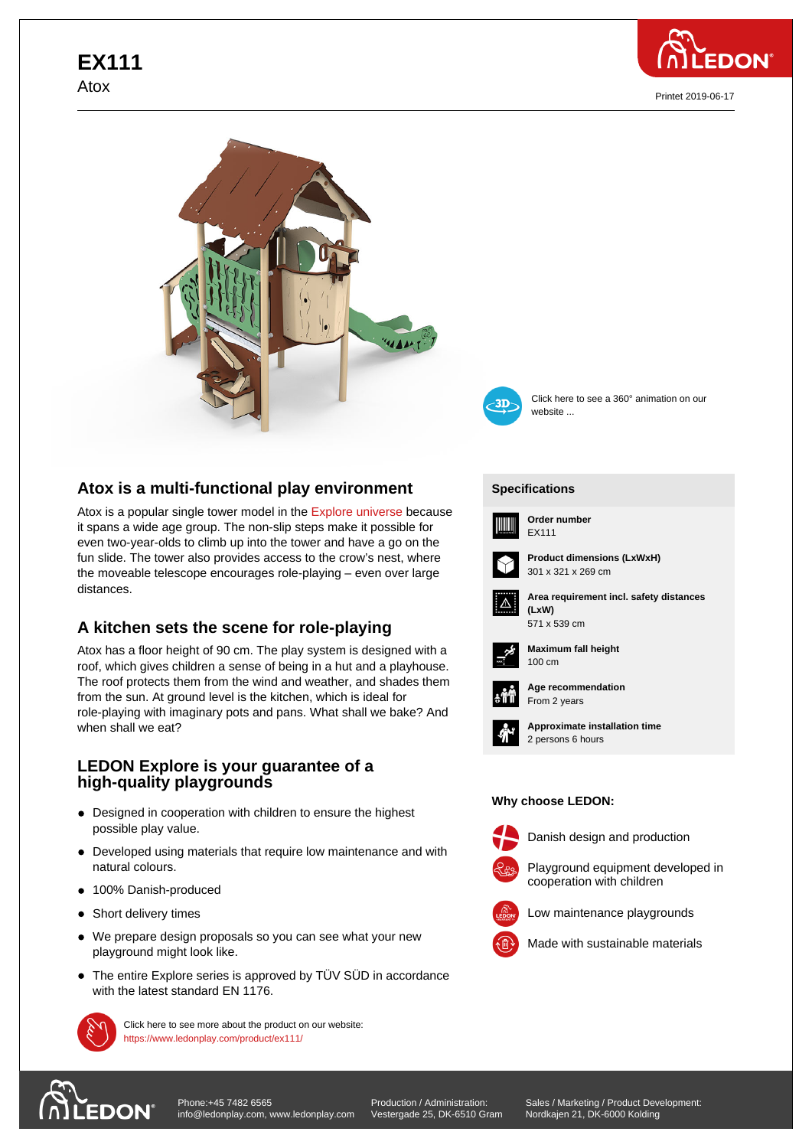

Printet 2019-06-17





Click here to see a 360° animation on our website ...

## **Atox is a multi-functional play environment**

Atox is a popular single tower model in the Explore universe because it spans a wide age group. The non-slip steps make it possible for even two-year-olds to climb up into the tower and have a go on the fun slide. The tower also provides access to the crow's nest, where the moveable telescope encourages role-p[laying – even ove](https://www.ledonplay.com/explore/)r large distances.

## **A kitchen sets the scene for role-playing**

Atox has a floor height of 90 cm. The play system is designed with a roof, which gives children a sense of being in a hut and a playhouse. The roof protects them from the wind and weather, and shades them from the sun. At ground level is the kitchen, which is ideal for role-playing with imaginary pots and pans. What shall we bake? And when shall we eat?

## **LEDON Explore is your guarantee of a high-quality playgrounds**

- Designed in cooperation with children to ensure the highest possible play value.
- Developed using materials that require low maintenance and with natural colours.
- 100% Danish-produced
- Short delivery times
- We prepare design proposals so you can see what your new playground might look like.
- The entire Explore series is approved by TÜV SÜD in accordance with the latest standard EN 1176.



Click here to see more about the product on our website: https://www.ledonplay.com/product/ex111/



**[Specific](https://www.ledonplay.com/product/ex111/)ations [Speci](https://www.ledonplay.com/product/ex111/)fications**



**Order number EX111** 



**Product dimensions (LxWxH)** 301 x 321 x 269 cm



**Area requirement incl. safety distances (LxW) (LxW)** 571 x 539 cm



**Maximum fall height** 100 cm 100 cm



**Age recommendation** From 2 years



**Approximate installation time** 2 persons 6 hours

## **Why choose LEDON: Why choose LEDON:**



Danish design and production



Playground equipment developed in

cooperation with children



Made with sustainable materials